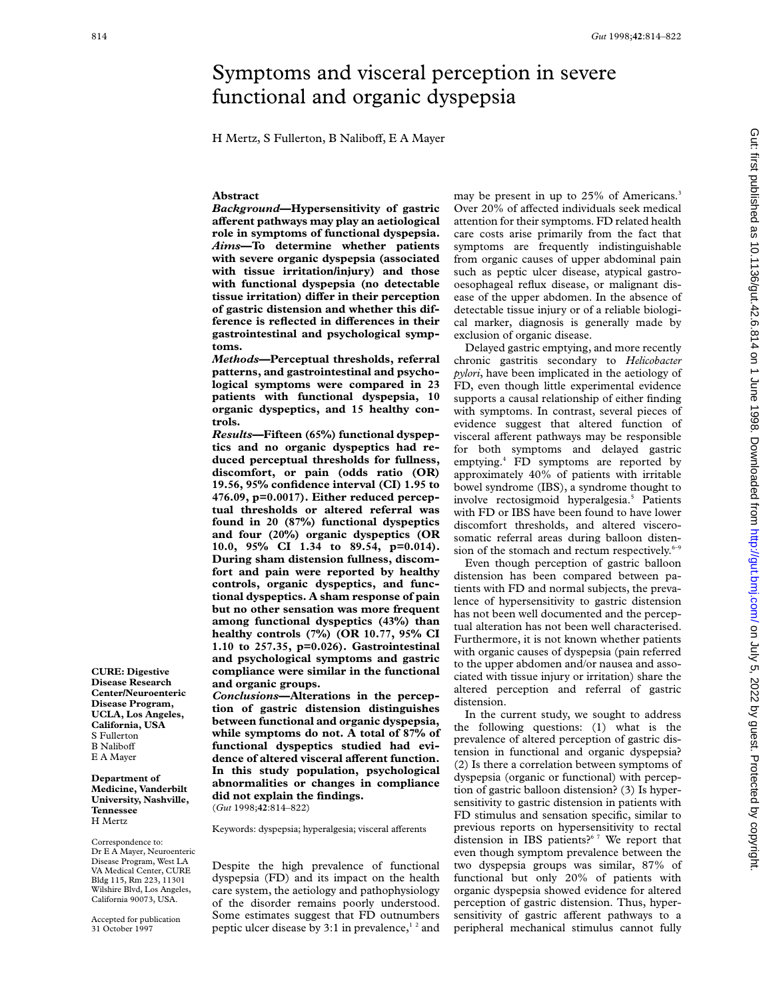# Symptoms and visceral perception in severe functional and organic dyspepsia

H Mertz, S Fullerton, B Naliboff, E A Mayer

# **Abstract**

*Background***—Hypersensitivity of gastric aVerent pathways may play an aetiological role in symptoms of functional dyspepsia.** *Aims***—To determine whether patients with severe organic dyspepsia (associated with tissue irritation/injury) and those with functional dyspepsia (no detectable tissue irritation) differ in their perception of gastric distension and whether this dif**ference is reflected in differences in their **gastrointestinal and psychological symptoms.**

*Methods***—Perceptual thresholds, referral patterns, and gastrointestinal and psychological symptoms were compared in 23 patients with functional dyspepsia, 10 organic dyspeptics, and 15 healthy controls.**

*Results***—Fifteen (65%) functional dyspeptics and no organic dyspeptics had reduced perceptual thresholds for fullness, discomfort, or pain (odds ratio (OR) 19.56, 95% confidence interval (CI) 1.95 to 476.09, p=0.0017). Either reduced perceptual thresholds or altered referral was found in 20 (87%) functional dyspeptics and four (20%) organic dyspeptics (OR 10.0, 95% CI 1.34 to 89.54, p=0.014). During sham distension fullness, discomfort and pain were reported by healthy controls, organic dyspeptics, and functional dyspeptics. A sham response of pain but no other sensation was more frequent among functional dyspeptics (43%) than healthy controls (7%) (OR 10.77, 95% CI 1.10 to 257.35, p=0.026). Gastrointestinal and psychological symptoms and gastric compliance were similar in the functional and organic groups.**

*Conclusions***—Alterations in the perception of gastric distension distinguishes between functional and organic dyspepsia, while symptoms do not. A total of 87% of functional dyspeptics studied had evi**dence of altered visceral afferent function. **In this study population, psychological abnormalities or changes in compliance did not explain the findings.** (*Gut* 1998;**42**:814–822)

Keywords: dyspepsia; hyperalgesia; visceral afferents

Despite the high prevalence of functional dyspepsia (FD) and its impact on the health care system, the aetiology and pathophysiology of the disorder remains poorly understood. Some estimates suggest that FD outnumbers peptic ulcer disease by 3:1 in prevalence, $1^2$  and

may be present in up to 25% of Americans.<sup>3</sup> Over 20% of affected individuals seek medical attention for their symptoms. FD related health care costs arise primarily from the fact that symptoms are frequently indistinguishable from organic causes of upper abdominal pain such as peptic ulcer disease, atypical gastrooesophageal reflux disease, or malignant disease of the upper abdomen. In the absence of detectable tissue injury or of a reliable biological marker, diagnosis is generally made by exclusion of organic disease.

Delayed gastric emptying, and more recently chronic gastritis secondary to *Helicobacter pylori*, have been implicated in the aetiology of FD, even though little experimental evidence supports a causal relationship of either finding with symptoms. In contrast, several pieces of evidence suggest that altered function of visceral afferent pathways may be responsible for both symptoms and delayed gastric emptying.<sup>4</sup> FD symptoms are reported by approximately 40% of patients with irritable bowel syndrome (IBS), a syndrome thought to involve rectosigmoid hyperalgesia.<sup>5</sup> Patients with FD or IBS have been found to have lower discomfort thresholds, and altered viscerosomatic referral areas during balloon distension of the stomach and rectum respectively. $6-9$ 

Even though perception of gastric balloon distension has been compared between patients with FD and normal subjects, the prevalence of hypersensitivity to gastric distension has not been well documented and the perceptual alteration has not been well characterised. Furthermore, it is not known whether patients with organic causes of dyspepsia (pain referred to the upper abdomen and/or nausea and associated with tissue injury or irritation) share the altered perception and referral of gastric distension.

In the current study, we sought to address the following questions: (1) what is the prevalence of altered perception of gastric distension in functional and organic dyspepsia? (2) Is there a correlation between symptoms of dyspepsia (organic or functional) with perception of gastric balloon distension? (3) Is hypersensitivity to gastric distension in patients with FD stimulus and sensation specific, similar to previous reports on hypersensitivity to rectal distension in IBS patients?<sup>67</sup> We report that even though symptom prevalence between the two dyspepsia groups was similar, 87% of functional but only 20% of patients with organic dyspepsia showed evidence for altered perception of gastric distension. Thus, hypersensitivity of gastric afferent pathways to a peripheral mechanical stimulus cannot fully

**CURE: Digestive Disease Research Center/Neuroenteric Disease Program, UCLA, Los Angeles, California, USA** S Fullerton **B** Naliboff E A Mayer

**Department of Medicine, Vanderbilt University, Nashville, Tennessee** H Mertz

Correspondence to: Dr E A Mayer, Neuroenteric Disease Program, West LA VA Medical Center, CURE Bldg 115, Rm 223, 11301 Wilshire Blvd, Los Angeles, California 90073, USA.

Accepted for publication 31 October 1997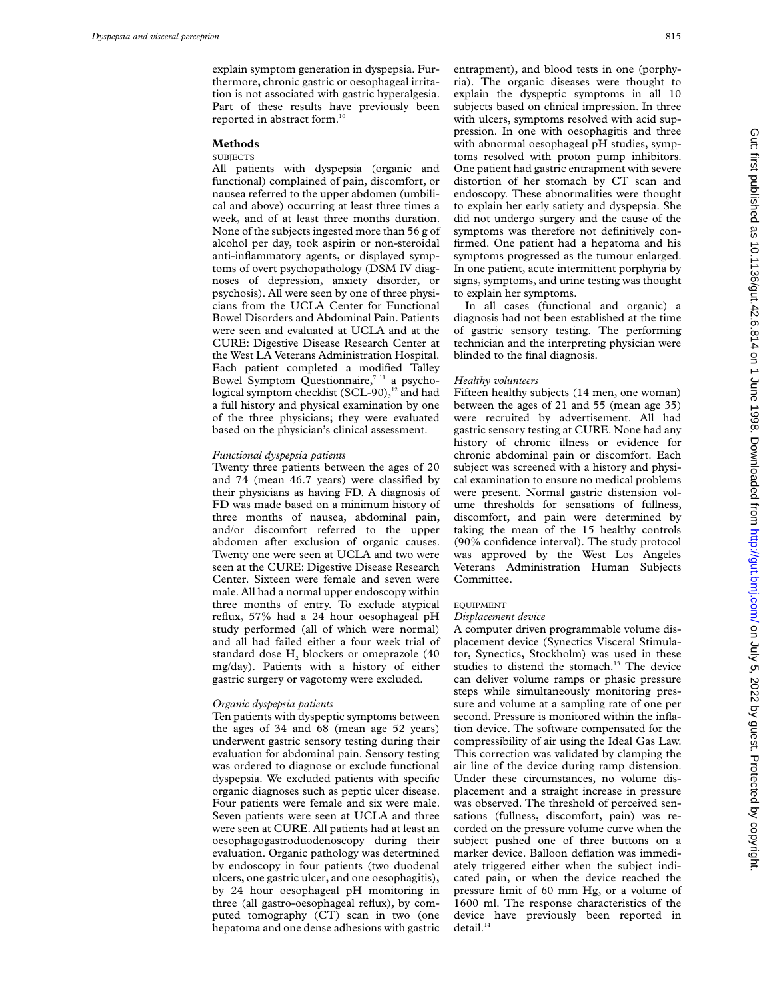explain symptom generation in dyspepsia. Furthermore, chronic gastric or oesophageal irritation is not associated with gastric hyperalgesia. Part of these results have previously been reported in abstract form.<sup>10</sup>

# **Methods**

# **SUBJECTS**

All patients with dyspepsia (organic and functional) complained of pain, discomfort, or nausea referred to the upper abdomen (umbilical and above) occurring at least three times a week, and of at least three months duration. None of the subjects ingested more than 56 g of alcohol per day, took aspirin or non-steroidal anti-inflammatory agents, or displayed symptoms of overt psychopathology (DSM IV diagnoses of depression, anxiety disorder, or psychosis). All were seen by one of three physicians from the UCLA Center for Functional Bowel Disorders and Abdominal Pain. Patients were seen and evaluated at UCLA and at the CURE: Digestive Disease Research Center at the West LA Veterans Administration Hospital. Each patient completed a modified Talley Bowel Symptom Questionnaire,<sup>7 11</sup> a psychological symptom checklist  $(SCL-90)$ ,<sup>12</sup> and had a full history and physical examination by one of the three physicians; they were evaluated based on the physician's clinical assessment.

# *Functional dyspepsia patients*

Twenty three patients between the ages of 20 and 74 (mean 46.7 years) were classified by their physicians as having FD. A diagnosis of FD was made based on a minimum history of three months of nausea, abdominal pain, and/or discomfort referred to the upper abdomen after exclusion of organic causes. Twenty one were seen at UCLA and two were seen at the CURE: Digestive Disease Research Center. Sixteen were female and seven were male. All had a normal upper endoscopy within three months of entry. To exclude atypical reflux, 57% had a 24 hour oesophageal pH study performed (all of which were normal) and all had failed either a four week trial of standard dose H<sub>2</sub> blockers or omeprazole (40 mg/day). Patients with a history of either gastric surgery or vagotomy were excluded.

# *Organic dyspepsia patients*

Ten patients with dyspeptic symptoms between the ages of 34 and 68 (mean age 52 years) underwent gastric sensory testing during their evaluation for abdominal pain. Sensory testing was ordered to diagnose or exclude functional dyspepsia. We excluded patients with specific organic diagnoses such as peptic ulcer disease. Four patients were female and six were male. Seven patients were seen at UCLA and three were seen at CURE. All patients had at least an oesophagogastroduodenoscopy during their evaluation. Organic pathology was detertnined by endoscopy in four patients (two duodenal ulcers, one gastric ulcer, and one oesophagitis), by 24 hour oesophageal pH monitoring in three (all gastro-oesophageal reflux), by computed tomography (CT) scan in two (one hepatoma and one dense adhesions with gastric

entrapment), and blood tests in one (porphyria). The organic diseases were thought to explain the dyspeptic symptoms in all 10 subjects based on clinical impression. In three with ulcers, symptoms resolved with acid suppression. In one with oesophagitis and three with abnormal oesophageal pH studies, symptoms resolved with proton pump inhibitors. One patient had gastric entrapment with severe distortion of her stomach by CT scan and endoscopy. These abnormalities were thought to explain her early satiety and dyspepsia. She did not undergo surgery and the cause of the symptoms was therefore not definitively confirmed. One patient had a hepatoma and his symptoms progressed as the tumour enlarged. In one patient, acute intermittent porphyria by signs, symptoms, and urine testing was thought to explain her symptoms.

In all cases (functional and organic) a diagnosis had not been established at the time of gastric sensory testing. The performing technician and the interpreting physician were blinded to the final diagnosis.

# *Healthy volunteers*

Fifteen healthy subjects (14 men, one woman) between the ages of 21 and 55 (mean age 35) were recruited by advertisement. All had gastric sensory testing at CURE. None had any history of chronic illness or evidence for chronic abdominal pain or discomfort. Each subject was screened with a history and physical examination to ensure no medical problems were present. Normal gastric distension volume thresholds for sensations of fullness, discomfort, and pain were determined by taking the mean of the 15 healthy controls (90% confidence interval). The study protocol was approved by the West Los Angeles Veterans Administration Human Subjects Committee.

# **EQUIPMENT**

# *Displacement device*

A computer driven programmable volume displacement device (Synectics Visceral Stimulator, Synectics, Stockholm) was used in these studies to distend the stomach.<sup>13</sup> The device can deliver volume ramps or phasic pressure steps while simultaneously monitoring pressure and volume at a sampling rate of one per second. Pressure is monitored within the inflation device. The software compensated for the compressibility of air using the Ideal Gas Law. This correction was validated by clamping the air line of the device during ramp distension. Under these circumstances, no volume displacement and a straight increase in pressure was observed. The threshold of perceived sensations (fullness, discomfort, pain) was recorded on the pressure volume curve when the subject pushed one of three buttons on a marker device. Balloon deflation was immediately triggered either when the subject indicated pain, or when the device reached the pressure limit of 60 mm Hg, or a volume of 1600 ml. The response characteristics of the device have previously been reported in detail.<sup>14</sup>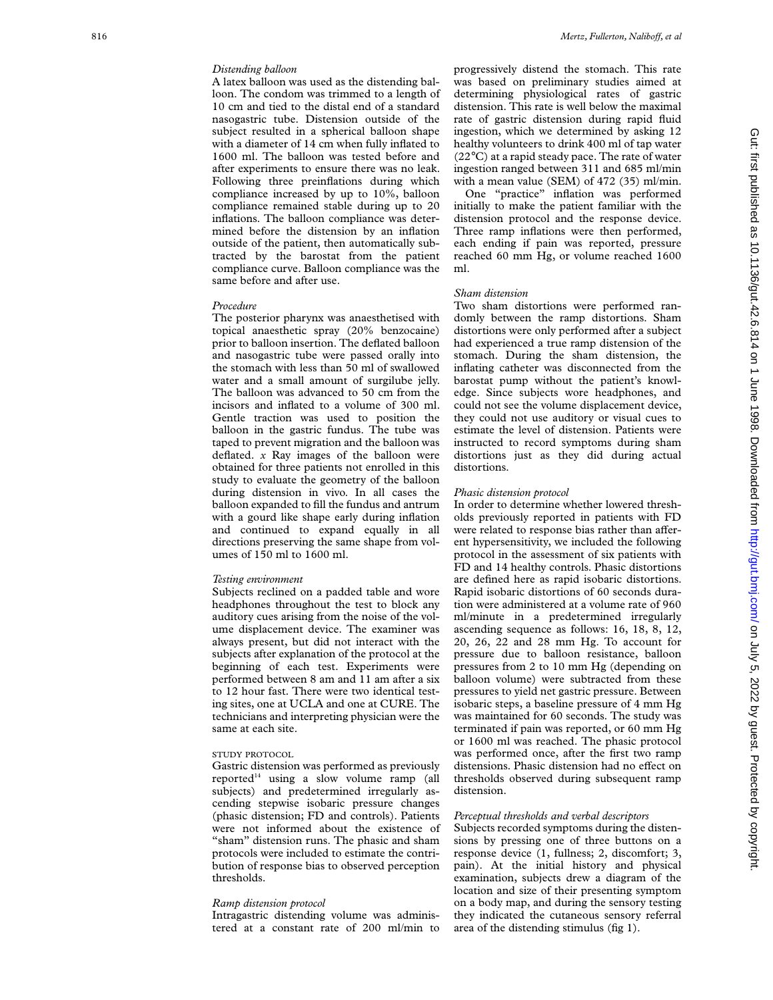## *Distending balloon*

A latex balloon was used as the distending balloon. The condom was trimmed to a length of 10 cm and tied to the distal end of a standard nasogastric tube. Distension outside of the subject resulted in a spherical balloon shape with a diameter of 14 cm when fully inflated to 1600 ml. The balloon was tested before and after experiments to ensure there was no leak. Following three preinflations during which compliance increased by up to 10%, balloon compliance remained stable during up to 20 inflations. The balloon compliance was determined before the distension by an inflation outside of the patient, then automatically subtracted by the barostat from the patient compliance curve. Balloon compliance was the same before and after use.

## *Procedure*

The posterior pharynx was anaesthetised with topical anaesthetic spray (20% benzocaine) prior to balloon insertion. The deflated balloon and nasogastric tube were passed orally into the stomach with less than 50 ml of swallowed water and a small amount of surgilube jelly. The balloon was advanced to 50 cm from the incisors and inflated to a volume of 300 ml. Gentle traction was used to position the balloon in the gastric fundus. The tube was taped to prevent migration and the balloon was deflated. *x* Ray images of the balloon were obtained for three patients not enrolled in this study to evaluate the geometry of the balloon during distension in vivo. In all cases the balloon expanded to fill the fundus and antrum with a gourd like shape early during inflation and continued to expand equally in all directions preserving the same shape from volumes of 150 ml to 1600 ml.

## *Testing environment*

Subjects reclined on a padded table and wore headphones throughout the test to block any auditory cues arising from the noise of the volume displacement device. The examiner was always present, but did not interact with the subjects after explanation of the protocol at the beginning of each test. Experiments were performed between 8 am and 11 am after a six to 12 hour fast. There were two identical testing sites, one at UCLA and one at CURE. The technicians and interpreting physician were the same at each site.

## STUDY PROTOCOL

Gastric distension was performed as previously  $reported<sup>14</sup>$  using a slow volume ramp (all subjects) and predetermined irregularly ascending stepwise isobaric pressure changes (phasic distension; FD and controls). Patients were not informed about the existence of "sham" distension runs. The phasic and sham protocols were included to estimate the contribution of response bias to observed perception thresholds.

#### *Ramp distension protocol*

Intragastric distending volume was administered at a constant rate of 200 ml/min to progressively distend the stomach. This rate was based on preliminary studies aimed at determining physiological rates of gastric distension. This rate is well below the maximal rate of gastric distension during rapid fluid ingestion, which we determined by asking 12 healthy volunteers to drink 400 ml of tap water (22 °C) at a rapid steady pace. The rate of water ingestion ranged between 311 and 685 ml/min with a mean value (SEM) of 472 (35) ml/min.

One "practice" inflation was performed initially to make the patient familiar with the distension protocol and the response device. Three ramp inflations were then performed, each ending if pain was reported, pressure reached 60 mm Hg, or volume reached 1600 ml.

# *Sham distension*

Two sham distortions were performed randomly between the ramp distortions. Sham distortions were only performed after a subject had experienced a true ramp distension of the stomach. During the sham distension, the inflating catheter was disconnected from the barostat pump without the patient's knowledge. Since subjects wore headphones, and could not see the volume displacement device, they could not use auditory or visual cues to estimate the level of distension. Patients were instructed to record symptoms during sham distortions just as they did during actual distortions.

# *Phasic distension protocol*

In order to determine whether lowered thresholds previously reported in patients with FD were related to response bias rather than afferent hypersensitivity, we included the following protocol in the assessment of six patients with FD and 14 healthy controls. Phasic distortions are defined here as rapid isobaric distortions. Rapid isobaric distortions of 60 seconds duration were administered at a volume rate of 960 ml/minute in a predetermined irregularly ascending sequence as follows: 16, 18, 8, 12, 20, 26, 22 and 28 mm Hg. To account for pressure due to balloon resistance, balloon pressures from 2 to 10 mm Hg (depending on balloon volume) were subtracted from these pressures to yield net gastric pressure. Between isobaric steps, a baseline pressure of 4 mm Hg was maintained for 60 seconds. The study was terminated if pain was reported, or 60 mm Hg or 1600 ml was reached. The phasic protocol was performed once, after the first two ramp distensions. Phasic distension had no effect on thresholds observed during subsequent ramp distension.

# *Perceptual thresholds and verbal descriptors*

Subjects recorded symptoms during the distensions by pressing one of three buttons on a response device (1, fullness; 2, discomfort; 3, pain). At the initial history and physical examination, subjects drew a diagram of the location and size of their presenting symptom on a body map, and during the sensory testing they indicated the cutaneous sensory referral area of the distending stimulus (fig 1).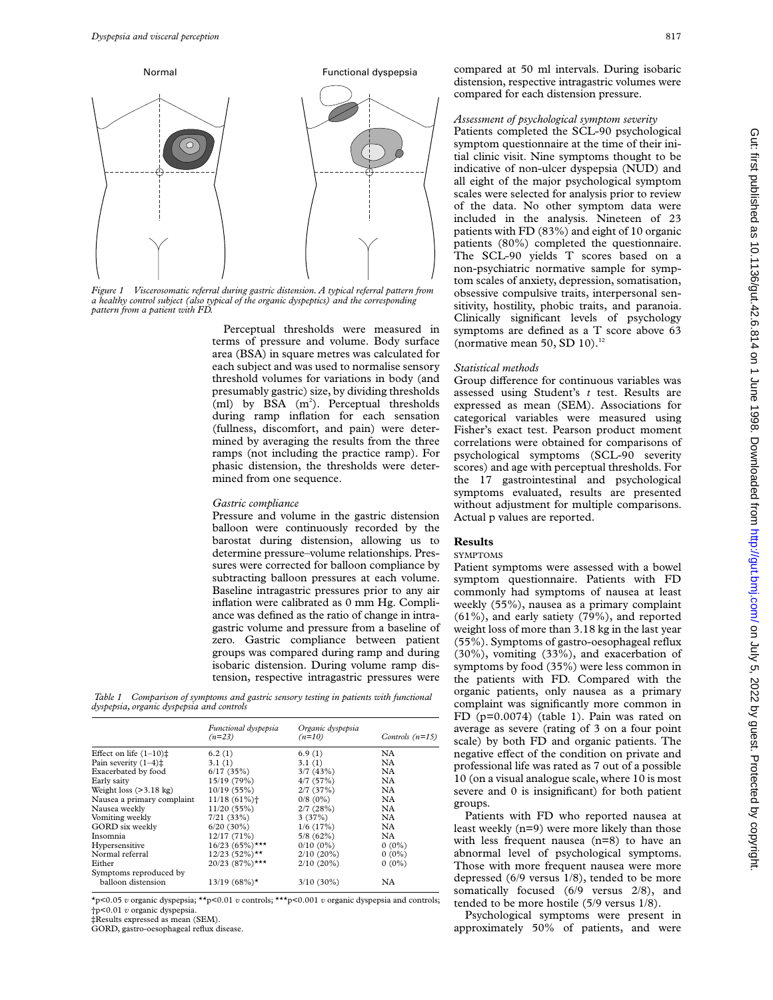

*Figure 1 Viscerosomatic referral during gastric distension. A typical referral pattern from a healthy control subject (also typical of the organic dyspeptics) and the corresponding pattern from a patient with FD.*

Perceptual thresholds were measured in terms of pressure and volume. Body surface area (BSA) in square metres was calculated for each subject and was used to normalise sensory threshold volumes for variations in body (and presumably gastric) size, by dividing thresholds (ml) by BSA (m<sup>2</sup>). Perceptual thresholds during ramp inflation for each sensation (fullness, discomfort, and pain) were determined by averaging the results from the three ramps (not including the practice ramp). For phasic distension, the thresholds were determined from one sequence.

## *Gastric compliance*

Pressure and volume in the gastric distension balloon were continuously recorded by the barostat during distension, allowing us to determine pressure–volume relationships. Pressures were corrected for balloon compliance by subtracting balloon pressures at each volume. Baseline intragastric pressures prior to any air inflation were calibrated as 0 mm Hg. Compliance was defined as the ratio of change in intragastric volume and pressure from a baseline of zero. Gastric compliance between patient groups was compared during ramp and during isobaric distension. During volume ramp distension, respective intragastric pressures were

*Table 1 Comparison of symptoms and gastric sensory testing in patients with functional dyspepsia, organic dyspepsia and controls*

|                                  | Functional dyspepsia<br>$(n=23)$ | Organic dyspepsia<br>$(n=10)$ | Controls $(n=15)$ |
|----------------------------------|----------------------------------|-------------------------------|-------------------|
| Effect on life $(1-10)\ddagger$  | 6.2(1)                           | 6.9(1)                        | NA                |
| Pain severity $(1-4)$ ‡          | 3.1(1)                           | 3.1(1)                        | NA                |
| Exacerbated by food              | 6/17(35%)                        | 3/7(43%)                      | NA                |
| Early saity                      | 15/19 (79%)                      | 4/7(57%)                      | NA                |
| Weight loss $(>3.18 \text{ kg})$ | 10/19(55%)                       | 2/7(37%)                      | NA                |
| Nausea a primary complaint       | $11/18(61\%)$ <sup>+</sup>       | $0/8(0\%)$                    | NA                |
| Nausea weekly                    | 11/20(55%)                       | 2/7(28%)                      | <b>NA</b>         |
| Vomiting weekly                  | 7/21(33%)                        | 3(37%)                        | NA                |
| GORD six weekly                  | $6/20(30\%)$                     | 1/6(17%)                      | NA                |
| Insomnia                         | 12/17(71%)                       | 5/8(62%)                      | <b>NA</b>         |
| Hypersensitive                   | $16/23$ $(65\%)$ ***             | $0/10(0\%)$                   | $0(0\%)$          |
| Normal referral                  | $12/23$ (52%)**                  | $2/10(20\%)$                  | $0(0\%)$          |
| Either                           | $20/23$ (87%)***                 | $2/10(20\%)$                  | $0(0\%)$          |
| Symptoms reproduced by           |                                  |                               |                   |
| balloon distension               | $13/19(68\%)*$                   | $3/10(30\%)$                  | NA                |

\*p<0.05 *v* organic dyspepsia; \*\*p<0.01 *v* controls; \*\*\*p<0.001 *v* organic dyspepsia and controls; †p<0.01 *v* organic dyspepsia.

‡Results expressed as mean (SEM).

GORD, gastro-oesophageal reflux disease.

compared at 50 ml intervals. During isobaric distension, respective intragastric volumes were compared for each distension pressure.

# *Assessment of psychological symptom severity*

Patients completed the SCL-90 psychological symptom questionnaire at the time of their initial clinic visit. Nine symptoms thought to be indicative of non-ulcer dyspepsia (NUD) and all eight of the major psychological symptom scales were selected for analysis prior to review of the data. No other symptom data were included in the analysis. Nineteen of 23 patients with FD (83%) and eight of 10 organic patients (80%) completed the questionnaire. The SCL-90 yields T scores based on a non-psychiatric normative sample for symptom scales of anxiety, depression, somatisation, obsessive compulsive traits, interpersonal sensitivity, hostility, phobic traits, and paranoia. Clinically significant levels of psychology symptoms are defined as a T score above 63 (normative mean 50, SD  $10$ ).<sup>12</sup>

## *Statistical methods*

Group difference for continuous variables was assessed using Student's *t* test. Results are expressed as mean (SEM). Associations for categorical variables were measured using Fisher's exact test. Pearson product moment correlations were obtained for comparisons of psychological symptoms (SCL-90 severity scores) and age with perceptual thresholds. For the 17 gastrointestinal and psychological symptoms evaluated, results are presented without adjustment for multiple comparisons. Actual p values are reported.

# **Results**

# SYMPTOMS

Patient symptoms were assessed with a bowel symptom questionnaire. Patients with FD commonly had symptoms of nausea at least weekly (55%), nausea as a primary complaint (61%), and early satiety (79%), and reported weight loss of more than 3.18 kg in the last year (55%). Symptoms of gastro-oesophageal reflux (30%), vomiting (33%), and exacerbation of symptoms by food (35%) were less common in the patients with FD. Compared with the organic patients, only nausea as a primary complaint was significantly more common in FD (p=0.0074) (table 1). Pain was rated on average as severe (rating of 3 on a four point scale) by both FD and organic patients. The negative effect of the condition on private and professional life was rated as 7 out of a possible 10 (on a visual analogue scale, where 10 is most severe and 0 is insignificant) for both patient groups.

Patients with FD who reported nausea at least weekly (n=9) were more likely than those with less frequent nausea (n=8) to have an abnormal level of psychological symptoms. Those with more frequent nausea were more depressed (6/9 versus 1/8), tended to be more somatically focused (6/9 versus 2/8), and tended to be more hostile (5/9 versus 1/8).

Psychological symptoms were present in approximately 50% of patients, and were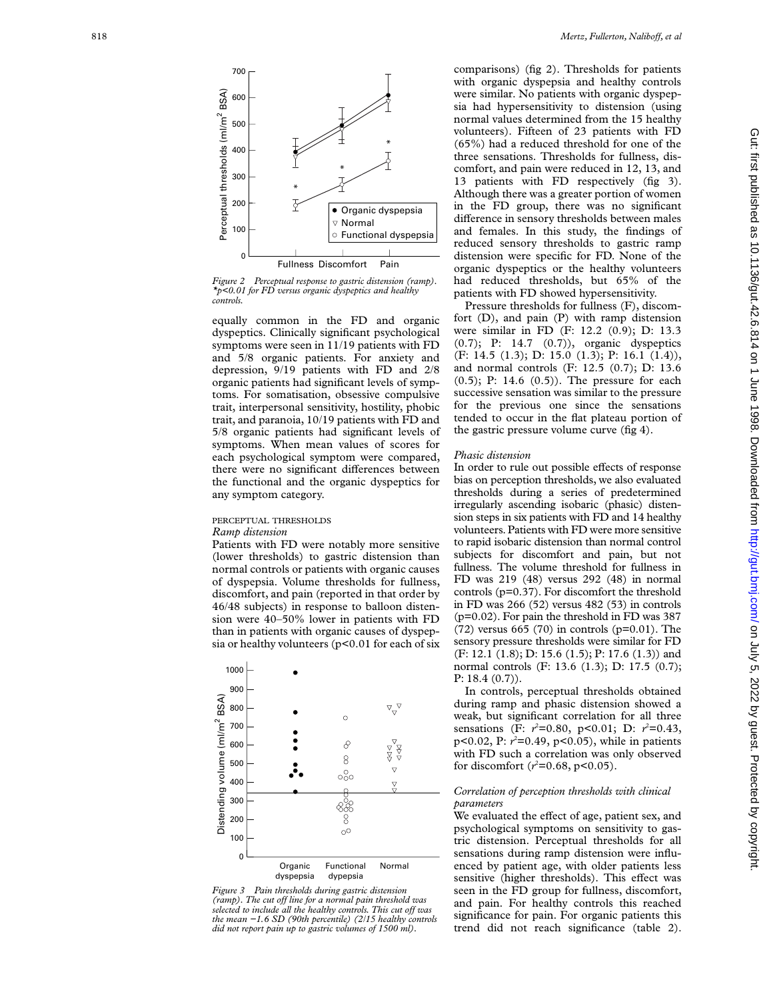

*Figure 2 Perceptual response to gastric distension (ramp). \*p<0.01 for FD versus organic dyspeptics and healthy controls.*

equally common in the FD and organic dyspeptics. Clinically significant psychological symptoms were seen in 11/19 patients with FD and 5/8 organic patients. For anxiety and depression, 9/19 patients with FD and 2/8 organic patients had significant levels of symptoms. For somatisation, obsessive compulsive trait, interpersonal sensitivity, hostility, phobic trait, and paranoia, 10/19 patients with FD and 5/8 organic patients had significant levels of symptoms. When mean values of scores for each psychological symptom were compared, there were no significant differences between the functional and the organic dyspeptics for any symptom category.

## PERCEPTUAL THRESHOLDS *Ramp distension*

Patients with FD were notably more sensitive (lower thresholds) to gastric distension than normal controls or patients with organic causes of dyspepsia. Volume thresholds for fullness, discomfort, and pain (reported in that order by 46/48 subjects) in response to balloon distension were 40–50% lower in patients with FD than in patients with organic causes of dyspepsia or healthy volunteers (p<0.01 for each of six



*Figure 3 Pain thresholds during gastric distension (ramp). The cut off line for a normal pain threshold was selected to include all the healthy controls. This cut off was the mean −1.6 SD (90th percentile) (2/15 healthy controls did not report pain up to gastric volumes of 1500 ml).*

comparisons) (fig 2). Thresholds for patients with organic dyspepsia and healthy controls were similar. No patients with organic dyspepsia had hypersensitivity to distension (using normal values determined from the 15 healthy volunteers). Fifteen of 23 patients with FD (65%) had a reduced threshold for one of the three sensations. Thresholds for fullness, discomfort, and pain were reduced in 12, 13, and 13 patients with FD respectively (fig 3). Although there was a greater portion of women in the FD group, there was no significant difference in sensory thresholds between males and females. In this study, the findings of reduced sensory thresholds to gastric ramp distension were specific for FD. None of the organic dyspeptics or the healthy volunteers had reduced thresholds, but 65% of the patients with FD showed hypersensitivity.

Pressure thresholds for fullness (F), discomfort (D), and pain (P) with ramp distension were similar in FD (F: 12.2 (0.9); D: 13.3 (0.7); P: 14.7 (0.7)), organic dyspeptics (F: 14.5 (1.3); D: 15.0 (1.3); P: 16.1 (1.4)), and normal controls (F: 12.5 (0.7); D: 13.6 (0.5); P: 14.6 (0.5)). The pressure for each successive sensation was similar to the pressure for the previous one since the sensations tended to occur in the flat plateau portion of the gastric pressure volume curve (fig 4).

## *Phasic distension*

In order to rule out possible effects of response bias on perception thresholds, we also evaluated thresholds during a series of predetermined irregularly ascending isobaric (phasic) distension steps in six patients with FD and 14 healthy volunteers. Patients with FD were more sensitive to rapid isobaric distension than normal control subjects for discomfort and pain, but not fullness. The volume threshold for fullness in FD was 219 (48) versus 292 (48) in normal controls (p=0.37). For discomfort the threshold in FD was 266 (52) versus 482 (53) in controls (p=0.02). For pain the threshold in FD was 387 (72) versus 665 (70) in controls ( $p=0.01$ ). The sensory pressure thresholds were similar for FD (F: 12.1 (1.8); D: 15.6 (1.5); P: 17.6 (1.3)) and normal controls (F: 13.6 (1.3); D: 17.5 (0.7); P: 18.4 (0.7)).

In controls, perceptual thresholds obtained during ramp and phasic distension showed a weak, but significant correlation for all three sensations (F:  $r^2$ =0.80, p<0.01; D:  $r^2$ =0.43, p<0.02, P:  $r^2$ =0.49, p<0.05), while in patients with FD such a correlation was only observed for discomfort  $(r^2=0.68, p<0.05)$ .

# *Correlation of perception thresholds with clinical parameters*

.<br>We evaluated the effect of age, patient sex, and psychological symptoms on sensitivity to gastric distension. Perceptual thresholds for all sensations during ramp distension were influenced by patient age, with older patients less sensitive (higher thresholds). This effect was seen in the FD group for fullness, discomfort, and pain. For healthy controls this reached significance for pain. For organic patients this trend did not reach significance (table 2).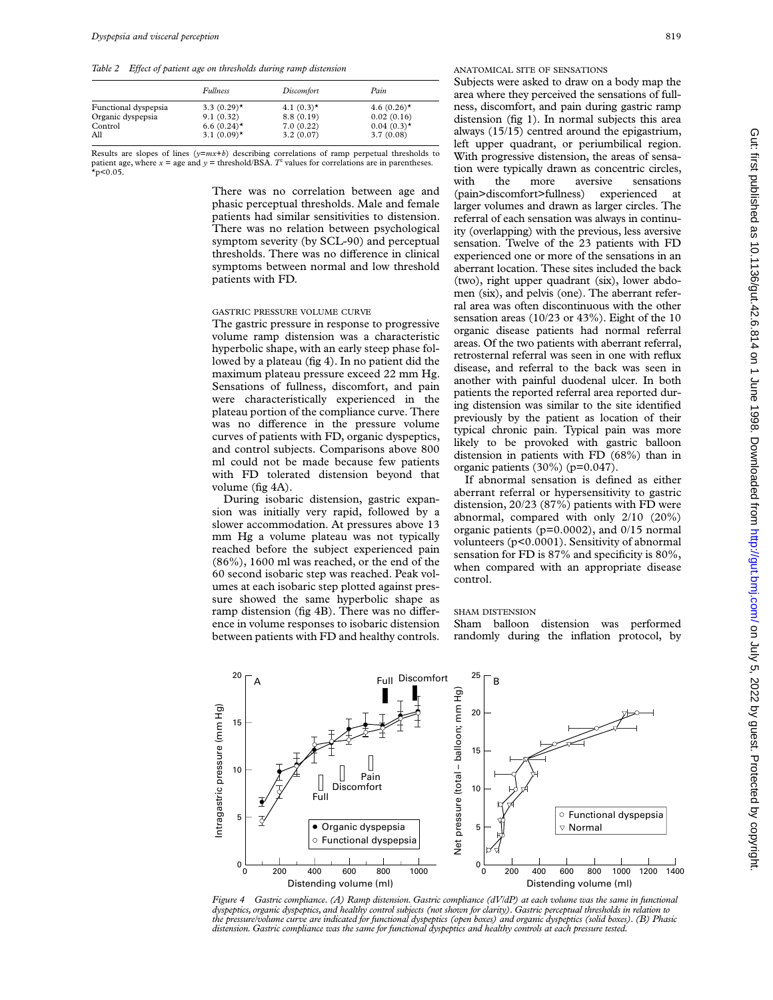*Table 2 EVect of patient age on thresholds during ramp distension*

|                      | <b>Fullness</b>           | Discomfort               | Pain                      |
|----------------------|---------------------------|--------------------------|---------------------------|
| Functional dyspepsia | 3.3 $(0.29)$ <sup>*</sup> | 4.1 $(0.3)$ <sup>*</sup> | 4.6 $(0.26)$ <sup>*</sup> |
| Organic dyspepsia    | 9.1(0.32)                 | 8.8(0.19)                | 0.02(0.16)                |
| Control              | $6.6(0.24)$ *             | 7.0(0.22)                | $0.04(0.3)$ *             |
| All                  | 3.1 $(0.09)$ <sup>*</sup> | 3.2(0.07)                | 3.7(0.08)                 |

Results are slopes of lines  $(y=mx+b)$  describing correlations of ramp perpetual thresholds to patient age, where  $x =$  age and  $y =$  threshold/BSA.  $T^2$  values for correlations are in parentheses.  $x_{p<0.05}$ 

> There was no correlation between age and phasic perceptual thresholds. Male and female patients had similar sensitivities to distension. There was no relation between psychological symptom severity (by SCL-90) and perceptual thresholds. There was no difference in clinical symptoms between normal and low threshold patients with FD.

## GASTRIC PRESSURE VOLUME CURVE

The gastric pressure in response to progressive volume ramp distension was a characteristic hyperbolic shape, with an early steep phase followed by a plateau (fig 4). In no patient did the maximum plateau pressure exceed 22 mm Hg. Sensations of fullness, discomfort, and pain were characteristically experienced in the plateau portion of the compliance curve. There was no difference in the pressure volume curves of patients with FD, organic dyspeptics, and control subjects. Comparisons above 800 ml could not be made because few patients with FD tolerated distension beyond that volume (fig 4A).

During isobaric distension, gastric expansion was initially very rapid, followed by a slower accommodation. At pressures above 13 mm Hg a volume plateau was not typically reached before the subject experienced pain (86%), 1600 ml was reached, or the end of the 60 second isobaric step was reached. Peak volumes at each isobaric step plotted against pressure showed the same hyperbolic shape as ramp distension (fig 4B). There was no difference in volume responses to isobaric distension between patients with FD and healthy controls.

ANATOMICAL SITE OF SENSATIONS

Subjects were asked to draw on a body map the area where they perceived the sensations of fullness, discomfort, and pain during gastric ramp distension (fig 1). In normal subjects this area always (15/15) centred around the epigastrium, left upper quadrant, or periumbilical region. With progressive distension, the areas of sensation were typically drawn as concentric circles,

with the more aversive sensations (pain>discomfort>fullness) experienced at larger volumes and drawn as larger circles. The referral of each sensation was always in continuity (overlapping) with the previous, less aversive sensation. Twelve of the 23 patients with FD experienced one or more of the sensations in an aberrant location. These sites included the back (two), right upper quadrant (six), lower abdomen (six), and pelvis (one). The aberrant referral area was often discontinuous with the other sensation areas (10/23 or 43%). Eight of the 10 organic disease patients had normal referral areas. Of the two patients with aberrant referral, retrosternal referral was seen in one with reflux disease, and referral to the back was seen in another with painful duodenal ulcer. In both patients the reported referral area reported during distension was similar to the site identified previously by the patient as location of their typical chronic pain. Typical pain was more likely to be provoked with gastric balloon distension in patients with FD (68%) than in organic patients (30%) (p=0.047).

If abnormal sensation is defined as either aberrant referral or hypersensitivity to gastric distension, 20/23 (87%) patients with FD were abnormal, compared with only 2/10 (20%) organic patients (p=0.0002), and 0/15 normal volunteers (p<0.0001). Sensitivity of abnormal sensation for FD is 87% and specificity is 80%, when compared with an appropriate disease control.

#### SHAM DISTENSION

Sham balloon distension was performed randomly during the inflation protocol, by



*Figure 4 Gastric compliance. (A) Ramp distension. Gastric compliance (dV/dP) at each volume was the same in functional dyspeptics, organic dyspeptics, and healthy control subjects (not shown for clarity). Gastric perceptual thresholds in relation to the pressure/volume curve are indicated for functional dyspeptics (open boxes) and organic dyspeptics (solid boxes). (B) Phasic distension. Gastric compliance was the same for functional dyspeptics and healthy controls at each pressure tested.*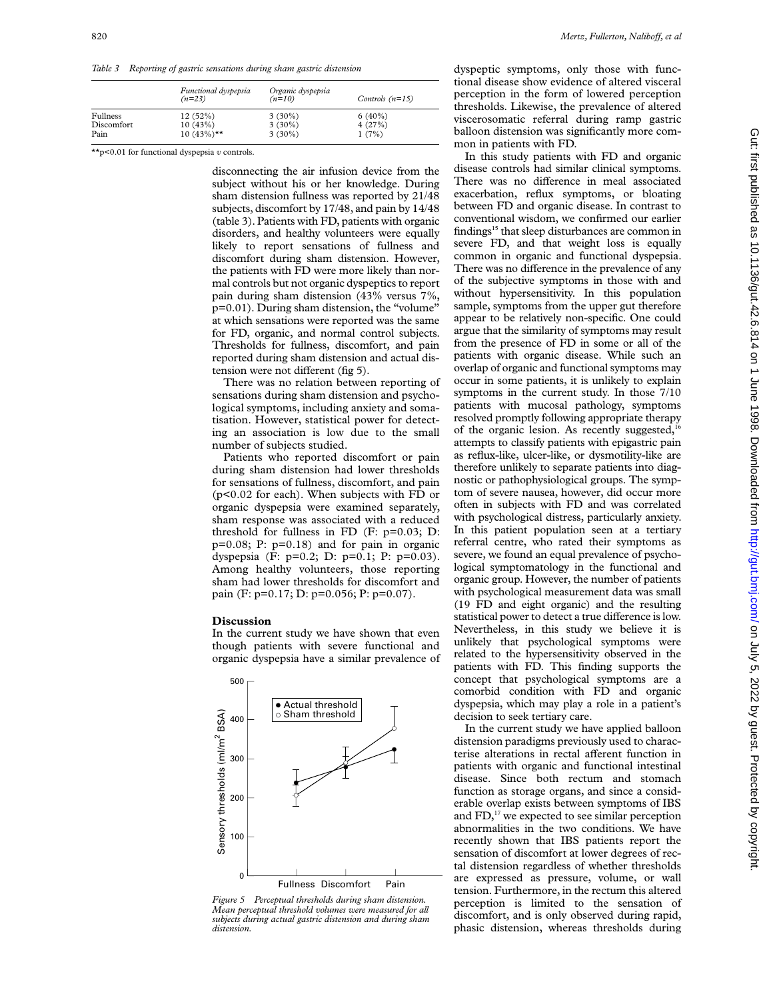*Table 3 Reporting of gastric sensations during sham gastric distension*

|            | Functional dyspepsia<br>$(n=23)$ | Organic dyspepsia<br>$(n=10)$ | Controls $(n=15)$ |
|------------|----------------------------------|-------------------------------|-------------------|
| Fullness   | 12(52%)                          | $3(30\%)$                     | $6(40\%)$         |
| Discomfort | 10(43%)                          | $3(30\%)$                     | 4(27%)            |
| Pain       | $10(43\%)$ **                    | $3(30\%)$                     | 1(7%)             |

\*\*p<0.01 for functional dyspepsia *v* controls.

disconnecting the air infusion device from the subject without his or her knowledge. During sham distension fullness was reported by 21/48 subjects, discomfort by 17/48, and pain by 14/48 (table 3). Patients with FD, patients with organic disorders, and healthy volunteers were equally likely to report sensations of fullness and discomfort during sham distension. However, the patients with FD were more likely than normal controls but not organic dyspeptics to report pain during sham distension (43% versus 7%, p=0.01). During sham distension, the "volume" at which sensations were reported was the same for FD, organic, and normal control subjects. Thresholds for fullness, discomfort, and pain reported during sham distension and actual distension were not different (fig 5).

There was no relation between reporting of sensations during sham distension and psychological symptoms, including anxiety and somatisation. However, statistical power for detecting an association is low due to the small number of subjects studied.

Patients who reported discomfort or pain during sham distension had lower thresholds for sensations of fullness, discomfort, and pain (p<0.02 for each). When subjects with FD or organic dyspepsia were examined separately, sham response was associated with a reduced threshold for fullness in FD  $(F: p=0.03; D)$ :  $p=0.08$ ; P:  $p=0.18$ ) and for pain in organic dyspepsia (F: p=0.2; D: p=0.1; P: p=0.03). Among healthy volunteers, those reporting sham had lower thresholds for discomfort and pain (F: p=0.17; D: p=0.056; P: p=0.07).

## **Discussion**

In the current study we have shown that even though patients with severe functional and organic dyspepsia have a similar prevalence of



*Figure 5 Perceptual thresholds during sham distension. Mean perceptual threshold volumes were measured for all subjects during actual gastric distension and during sham distension.*

dyspeptic symptoms, only those with functional disease show evidence of altered visceral perception in the form of lowered perception thresholds. Likewise, the prevalence of altered viscerosomatic referral during ramp gastric balloon distension was significantly more common in patients with FD.

In this study patients with FD and organic disease controls had similar clinical symptoms. There was no difference in meal associated exacerbation, reflux symptoms, or bloating between FD and organic disease. In contrast to conventional wisdom, we confirmed our earlier findings<sup>15</sup> that sleep disturbances are common in severe FD, and that weight loss is equally common in organic and functional dyspepsia. There was no difference in the prevalence of any of the subjective symptoms in those with and without hypersensitivity. In this population sample, symptoms from the upper gut therefore appear to be relatively non-specific. One could argue that the similarity of symptoms may result from the presence of FD in some or all of the patients with organic disease. While such an overlap of organic and functional symptoms may occur in some patients, it is unlikely to explain symptoms in the current study. In those 7/10 patients with mucosal pathology, symptoms resolved promptly following appropriate therapy of the organic lesion. As recently suggested, $16$ attempts to classify patients with epigastric pain as reflux-like, ulcer-like, or dysmotility-like are therefore unlikely to separate patients into diagnostic or pathophysiological groups. The symptom of severe nausea, however, did occur more often in subjects with FD and was correlated with psychological distress, particularly anxiety. In this patient population seen at a tertiary referral centre, who rated their symptoms as severe, we found an equal prevalence of psychological symptomatology in the functional and organic group. However, the number of patients with psychological measurement data was small (19 FD and eight organic) and the resulting statistical power to detect a true difference is low. Nevertheless, in this study we believe it is unlikely that psychological symptoms were related to the hypersensitivity observed in the patients with FD. This finding supports the concept that psychological symptoms are a comorbid condition with FD and organic dyspepsia, which may play a role in a patient's decision to seek tertiary care.

In the current study we have applied balloon distension paradigms previously used to characterise alterations in rectal afferent function in patients with organic and functional intestinal disease. Since both rectum and stomach function as storage organs, and since a considerable overlap exists between symptoms of IBS and  $FD<sub>1</sub><sup>17</sup>$  we expected to see similar perception abnormalities in the two conditions. We have recently shown that IBS patients report the sensation of discomfort at lower degrees of rectal distension regardless of whether thresholds are expressed as pressure, volume, or wall tension. Furthermore, in the rectum this altered perception is limited to the sensation of discomfort, and is only observed during rapid, phasic distension, whereas thresholds during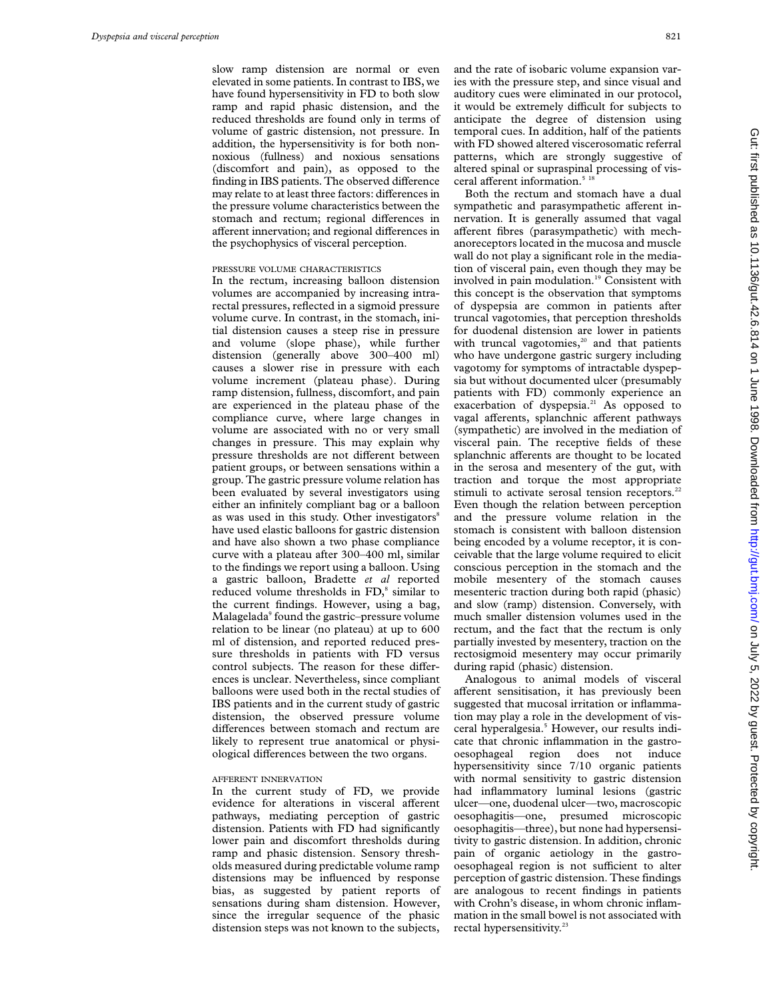slow ramp distension are normal or even elevated in some patients. In contrast to IBS, we have found hypersensitivity in FD to both slow ramp and rapid phasic distension, and the reduced thresholds are found only in terms of volume of gastric distension, not pressure. In addition, the hypersensitivity is for both nonnoxious (fullness) and noxious sensations (discomfort and pain), as opposed to the finding in IBS patients. The observed difference may relate to at least three factors: differences in the pressure volume characteristics between the stomach and rectum; regional differences in afferent innervation; and regional differences in the psychophysics of visceral perception.

## PRESSURE VOLUME CHARACTERISTICS

In the rectum, increasing balloon distension volumes are accompanied by increasing intrarectal pressures, reflected in a sigmoid pressure volume curve. In contrast, in the stomach, initial distension causes a steep rise in pressure and volume (slope phase), while further distension (generally above 300–400 ml) causes a slower rise in pressure with each volume increment (plateau phase). During ramp distension, fullness, discomfort, and pain are experienced in the plateau phase of the compliance curve, where large changes in volume are associated with no or very small changes in pressure. This may explain why pressure thresholds are not different between patient groups, or between sensations within a group. The gastric pressure volume relation has been evaluated by several investigators using either an infinitely compliant bag or a balloon as was used in this study. Other investigators<sup>8</sup> have used elastic balloons for gastric distension and have also shown a two phase compliance curve with a plateau after 300–400 ml, similar to the findings we report using a balloon. Using a gastric balloon, Bradette *et al* reported reduced volume thresholds in FD,<sup>8</sup> similar to the current findings. However, using a bag, Malagelada<sup>9</sup> found the gastric–pressure volume relation to be linear (no plateau) at up to 600 ml of distension, and reported reduced pressure thresholds in patients with FD versus control subjects. The reason for these differences is unclear. Nevertheless, since compliant balloons were used both in the rectal studies of IBS patients and in the current study of gastric distension, the observed pressure volume differences between stomach and rectum are likely to represent true anatomical or physiological differences between the two organs.

## AFFERENT INNERVATION

In the current study of FD, we provide evidence for alterations in visceral afferent pathways, mediating perception of gastric distension. Patients with FD had significantly lower pain and discomfort thresholds during ramp and phasic distension. Sensory thresholds measured during predictable volume ramp distensions may be influenced by response bias, as suggested by patient reports of sensations during sham distension. However, since the irregular sequence of the phasic distension steps was not known to the subjects,

and the rate of isobaric volume expansion varies with the pressure step, and since visual and auditory cues were eliminated in our protocol, it would be extremely difficult for subjects to anticipate the degree of distension using temporal cues. In addition, half of the patients with FD showed altered viscerosomatic referral patterns, which are strongly suggestive of altered spinal or supraspinal processing of visceral afferent information.<sup>5 1</sup>

Both the rectum and stomach have a dual sympathetic and parasympathetic afferent innervation. It is generally assumed that vagal afferent fibres (parasympathetic) with mechanoreceptors located in the mucosa and muscle wall do not play a significant role in the mediation of visceral pain, even though they may be involved in pain modulation.<sup>19</sup> Consistent with this concept is the observation that symptoms of dyspepsia are common in patients after truncal vagotomies, that perception thresholds for duodenal distension are lower in patients with truncal vagotomies, $20$  and that patients who have undergone gastric surgery including vagotomy for symptoms of intractable dyspepsia but without documented ulcer (presumably patients with FD) commonly experience an exacerbation of dyspepsia.<sup>21</sup> As opposed to vagal afferents, splanchnic afferent pathways (sympathetic) are involved in the mediation of visceral pain. The receptive fields of these splanchnic afferents are thought to be located in the serosa and mesentery of the gut, with traction and torque the most appropriate stimuli to activate serosal tension receptors.<sup>22</sup> Even though the relation between perception and the pressure volume relation in the stomach is consistent with balloon distension being encoded by a volume receptor, it is conceivable that the large volume required to elicit conscious perception in the stomach and the mobile mesentery of the stomach causes mesenteric traction during both rapid (phasic) and slow (ramp) distension. Conversely, with much smaller distension volumes used in the rectum, and the fact that the rectum is only partially invested by mesentery, traction on the rectosigmoid mesentery may occur primarily during rapid (phasic) distension.

Analogous to animal models of visceral afferent sensitisation, it has previously been suggested that mucosal irritation or inflammation may play a role in the development of visceral hyperalgesia.<sup>5</sup> However, our results indicate that chronic inflammation in the gastrooesophageal region does not induce hypersensitivity since 7/10 organic patients with normal sensitivity to gastric distension had inflammatory luminal lesions (gastric ulcer—one, duodenal ulcer—two, macroscopic oesophagitis—one, presumed microscopic oesophagitis—three), but none had hypersensitivity to gastric distension. In addition, chronic pain of organic aetiology in the gastrooesophageal region is not sufficient to alter perception of gastric distension. These findings are analogous to recent findings in patients with Crohn's disease, in whom chronic inflammation in the small bowel is not associated with rectal hypersensitivity.<sup>23</sup>